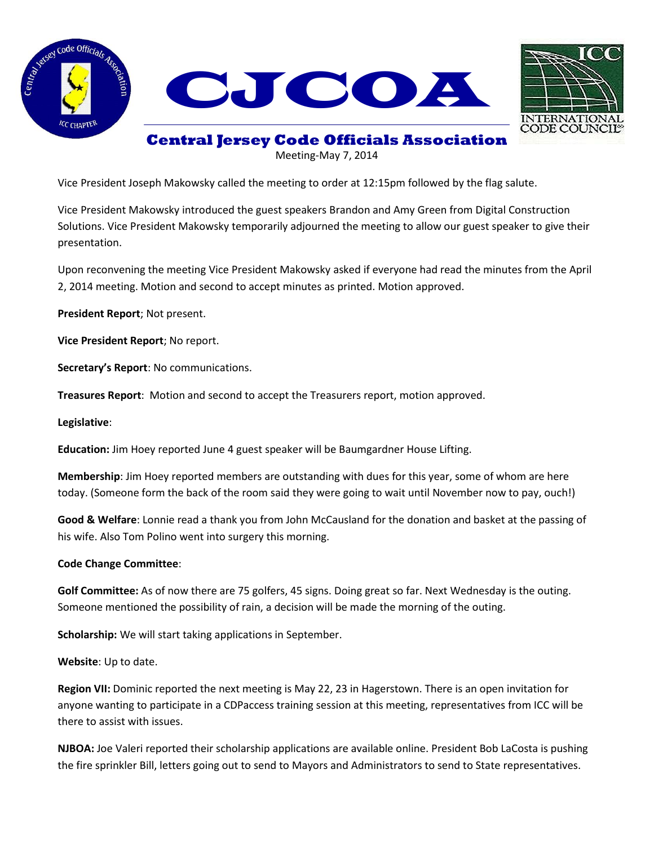



## Meeting-May 7, 2014

Vice President Joseph Makowsky called the meeting to order at 12:15pm followed by the flag salute.

Vice President Makowsky introduced the guest speakers Brandon and Amy Green from Digital Construction Solutions. Vice President Makowsky temporarily adjourned the meeting to allow our guest speaker to give their presentation.

Upon reconvening the meeting Vice President Makowsky asked if everyone had read the minutes from the April 2, 2014 meeting. Motion and second to accept minutes as printed. Motion approved.

**President Report**; Not present.

**Vice President Report**; No report.

**Secretary's Report**: No communications.

**Treasures Report**: Motion and second to accept the Treasurers report, motion approved.

**Legislative**:

**Education:** Jim Hoey reported June 4 guest speaker will be Baumgardner House Lifting.

**Membership**: Jim Hoey reported members are outstanding with dues for this year, some of whom are here today. (Someone form the back of the room said they were going to wait until November now to pay, ouch!)

**Good & Welfare**: Lonnie read a thank you from John McCausland for the donation and basket at the passing of his wife. Also Tom Polino went into surgery this morning.

## **Code Change Committee**:

**Golf Committee:** As of now there are 75 golfers, 45 signs. Doing great so far. Next Wednesday is the outing. Someone mentioned the possibility of rain, a decision will be made the morning of the outing.

**Scholarship:** We will start taking applications in September.

**Website**: Up to date.

**Region VII:** Dominic reported the next meeting is May 22, 23 in Hagerstown. There is an open invitation for anyone wanting to participate in a CDPaccess training session at this meeting, representatives from ICC will be there to assist with issues.

**NJBOA:** Joe Valeri reported their scholarship applications are available online. President Bob LaCosta is pushing the fire sprinkler Bill, letters going out to send to Mayors and Administrators to send to State representatives.